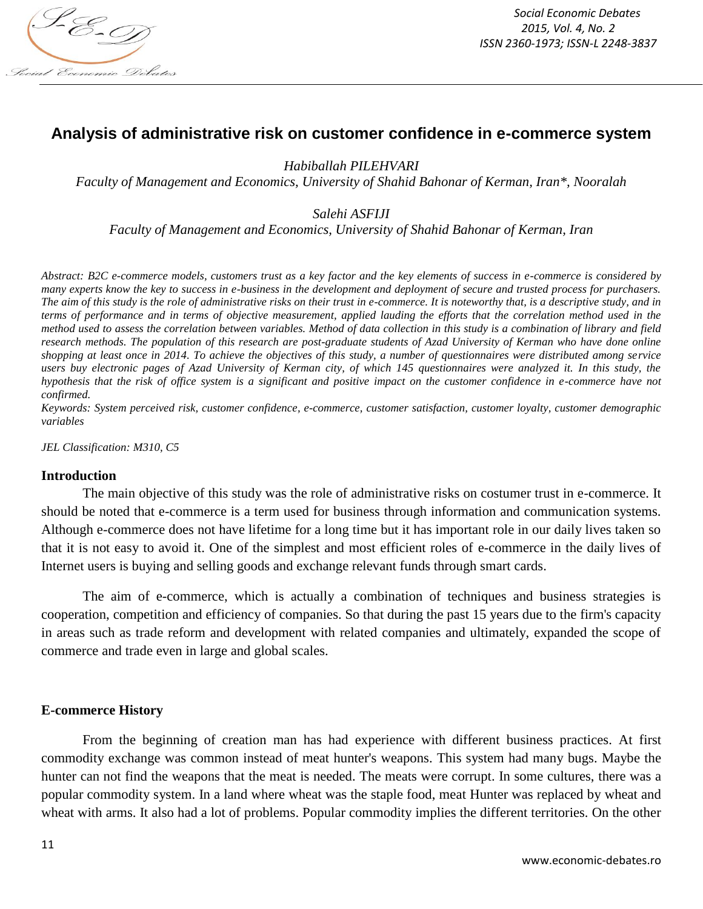

# **Analysis of administrative risk on customer confidence in e-commerce system**

*Habiballah PILEHVARI*

*Faculty of Management and Economics, University of Shahid Bahonar of Kerman, Iran\*, Nooralah*

*Salehi ASFIJI* 

*Faculty of Management and Economics, University of Shahid Bahonar of Kerman, Iran*

*Abstract: B2C e-commerce models, customers trust as a key factor and the key elements of success in e-commerce is considered by many experts know the key to success in e-business in the development and deployment of secure and trusted process for purchasers. The aim of this study is the role of administrative risks on their trust in e-commerce. It is noteworthy that, is a descriptive study, and in terms of performance and in terms of objective measurement, applied lauding the efforts that the correlation method used in the method used to assess the correlation between variables. Method of data collection in this study is a combination of library and field research methods. The population of this research are post-graduate students of Azad University of Kerman who have done online shopping at least once in 2014. To achieve the objectives of this study, a number of questionnaires were distributed among service users buy electronic pages of Azad University of Kerman city, of which 145 questionnaires were analyzed it. In this study, the hypothesis that the risk of office system is a significant and positive impact on the customer confidence in e-commerce have not confirmed.*

*Keywords: System perceived risk, customer confidence, e-commerce, customer satisfaction, customer loyalty, customer demographic variables*

*JEL Classification: M310, C5*

#### **Introduction**

The main objective of this study was the role of administrative risks on costumer trust in e-commerce. It should be noted that e-commerce is a term used for business through information and communication systems. Although e-commerce does not have lifetime for a long time but it has important role in our daily lives taken so that it is not easy to avoid it. One of the simplest and most efficient roles of e-commerce in the daily lives of Internet users is buying and selling goods and exchange relevant funds through smart cards.

The aim of e-commerce, which is actually a combination of techniques and business strategies is cooperation, competition and efficiency of companies. So that during the past 15 years due to the firm's capacity in areas such as trade reform and development with related companies and ultimately, expanded the scope of commerce and trade even in large and global scales.

#### **E-commerce History**

From the beginning of creation man has had experience with different business practices. At first commodity exchange was common instead of meat hunter's weapons. This system had many bugs. Maybe the hunter can not find the weapons that the meat is needed. The meats were corrupt. In some cultures, there was a popular commodity system. In a land where wheat was the staple food, meat Hunter was replaced by wheat and wheat with arms. It also had a lot of problems. Popular commodity implies the different territories. On the other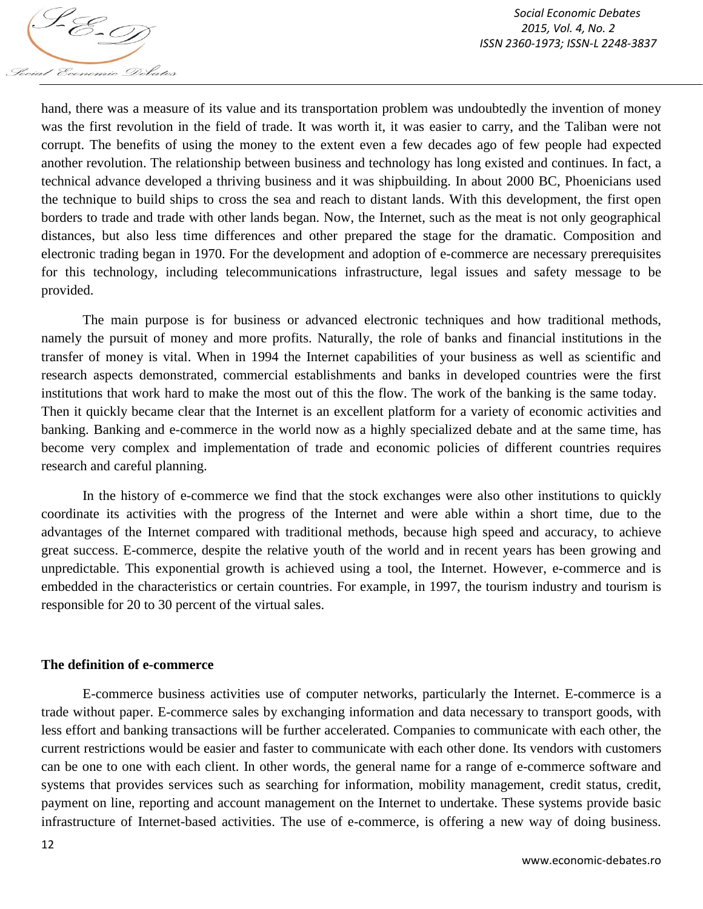

hand, there was a measure of its value and its transportation problem was undoubtedly the invention of money was the first revolution in the field of trade. It was worth it, it was easier to carry, and the Taliban were not corrupt. The benefits of using the money to the extent even a few decades ago of few people had expected another revolution. The relationship between business and technology has long existed and continues. In fact, a technical advance developed a thriving business and it was shipbuilding. In about 2000 BC, Phoenicians used the technique to build ships to cross the sea and reach to distant lands. With this development, the first open borders to trade and trade with other lands began. Now, the Internet, such as the meat is not only geographical distances, but also less time differences and other prepared the stage for the dramatic. Composition and electronic trading began in 1970. For the development and adoption of e-commerce are necessary prerequisites for this technology, including telecommunications infrastructure, legal issues and safety message to be provided.

The main purpose is for business or advanced electronic techniques and how traditional methods, namely the pursuit of money and more profits. Naturally, the role of banks and financial institutions in the transfer of money is vital. When in 1994 the Internet capabilities of your business as well as scientific and research aspects demonstrated, commercial establishments and banks in developed countries were the first institutions that work hard to make the most out of this the flow. The work of the banking is the same today. Then it quickly became clear that the Internet is an excellent platform for a variety of economic activities and banking. Banking and e-commerce in the world now as a highly specialized debate and at the same time, has become very complex and implementation of trade and economic policies of different countries requires research and careful planning.

In the history of e-commerce we find that the stock exchanges were also other institutions to quickly coordinate its activities with the progress of the Internet and were able within a short time, due to the advantages of the Internet compared with traditional methods, because high speed and accuracy, to achieve great success. E-commerce, despite the relative youth of the world and in recent years has been growing and unpredictable. This exponential growth is achieved using a tool, the Internet. However, e-commerce and is embedded in the characteristics or certain countries. For example, in 1997, the tourism industry and tourism is responsible for 20 to 30 percent of the virtual sales.

#### **The definition of e-commerce**

E-commerce business activities use of computer networks, particularly the Internet. E-commerce is a trade without paper. E-commerce sales by exchanging information and data necessary to transport goods, with less effort and banking transactions will be further accelerated. Companies to communicate with each other, the current restrictions would be easier and faster to communicate with each other done. Its vendors with customers can be one to one with each client. In other words, the general name for a range of e-commerce software and systems that provides services such as searching for information, mobility management, credit status, credit, payment on line, reporting and account management on the Internet to undertake. These systems provide basic infrastructure of Internet-based activities. The use of e-commerce, is offering a new way of doing business.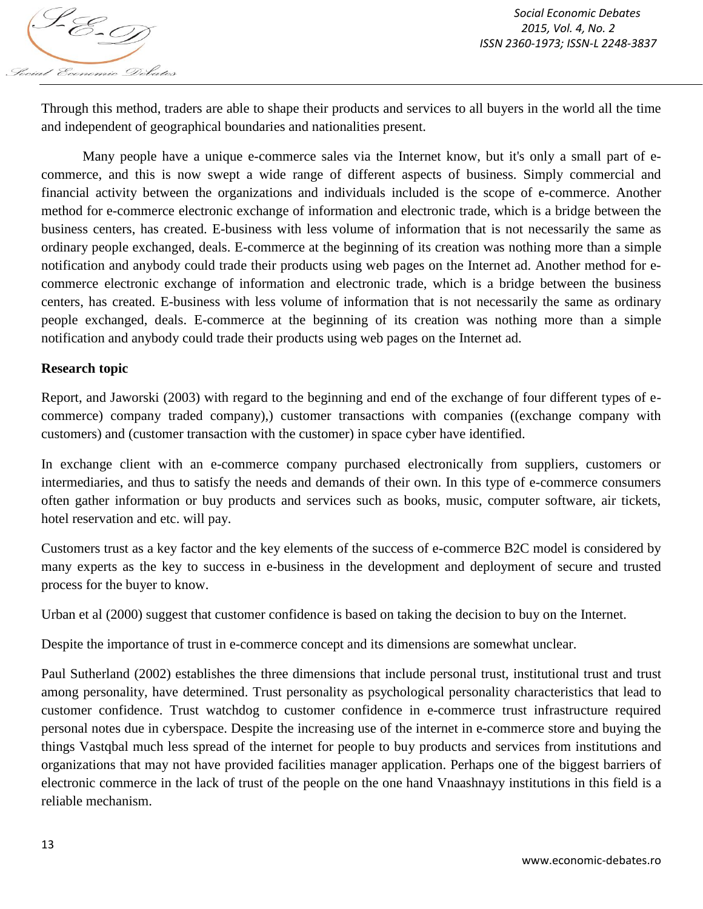

Through this method, traders are able to shape their products and services to all buyers in the world all the time and independent of geographical boundaries and nationalities present.

Many people have a unique e-commerce sales via the Internet know, but it's only a small part of ecommerce, and this is now swept a wide range of different aspects of business. Simply commercial and financial activity between the organizations and individuals included is the scope of e-commerce. Another method for e-commerce electronic exchange of information and electronic trade, which is a bridge between the business centers, has created. E-business with less volume of information that is not necessarily the same as ordinary people exchanged, deals. E-commerce at the beginning of its creation was nothing more than a simple notification and anybody could trade their products using web pages on the Internet ad. Another method for ecommerce electronic exchange of information and electronic trade, which is a bridge between the business centers, has created. E-business with less volume of information that is not necessarily the same as ordinary people exchanged, deals. E-commerce at the beginning of its creation was nothing more than a simple notification and anybody could trade their products using web pages on the Internet ad.

### **Research topic**

Report, and Jaworski (2003) with regard to the beginning and end of the exchange of four different types of ecommerce) company traded company),) customer transactions with companies ((exchange company with customers) and (customer transaction with the customer) in space cyber have identified.

In exchange client with an e-commerce company purchased electronically from suppliers, customers or intermediaries, and thus to satisfy the needs and demands of their own. In this type of e-commerce consumers often gather information or buy products and services such as books, music, computer software, air tickets, hotel reservation and etc. will pay.

Customers trust as a key factor and the key elements of the success of e-commerce B2C model is considered by many experts as the key to success in e-business in the development and deployment of secure and trusted process for the buyer to know.

Urban et al (2000) suggest that customer confidence is based on taking the decision to buy on the Internet.

Despite the importance of trust in e-commerce concept and its dimensions are somewhat unclear.

Paul Sutherland (2002) establishes the three dimensions that include personal trust, institutional trust and trust among personality, have determined. Trust personality as psychological personality characteristics that lead to customer confidence. Trust watchdog to customer confidence in e-commerce trust infrastructure required personal notes due in cyberspace. Despite the increasing use of the internet in e-commerce store and buying the things Vastqbal much less spread of the internet for people to buy products and services from institutions and organizations that may not have provided facilities manager application. Perhaps one of the biggest barriers of electronic commerce in the lack of trust of the people on the one hand Vnaashnayy institutions in this field is a reliable mechanism.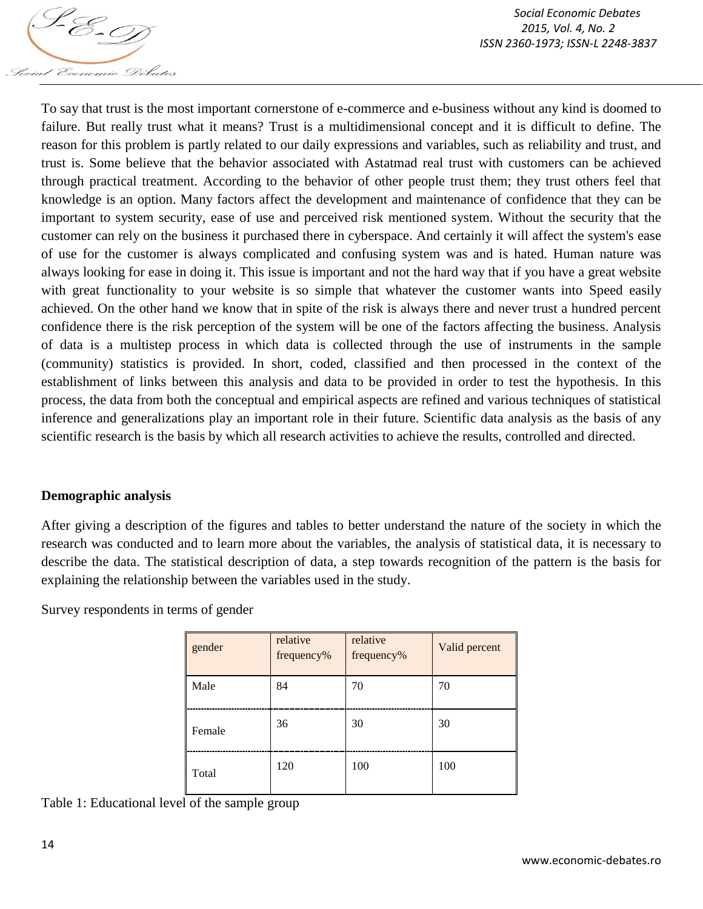

To say that trust is the most important cornerstone of e-commerce and e-business without any kind is doomed to failure. But really trust what it means? Trust is a multidimensional concept and it is difficult to define. The reason for this problem is partly related to our daily expressions and variables, such as reliability and trust, and trust is. Some believe that the behavior associated with Astatmad real trust with customers can be achieved through practical treatment. According to the behavior of other people trust them; they trust others feel that knowledge is an option. Many factors affect the development and maintenance of confidence that they can be important to system security, ease of use and perceived risk mentioned system. Without the security that the customer can rely on the business it purchased there in cyberspace. And certainly it will affect the system's ease of use for the customer is always complicated and confusing system was and is hated. Human nature was always looking for ease in doing it. This issue is important and not the hard way that if you have a great website with great functionality to your website is so simple that whatever the customer wants into Speed easily achieved. On the other hand we know that in spite of the risk is always there and never trust a hundred percent confidence there is the risk perception of the system will be one of the factors affecting the business. Analysis of data is a multistep process in which data is collected through the use of instruments in the sample (community) statistics is provided. In short, coded, classified and then processed in the context of the establishment of links between this analysis and data to be provided in order to test the hypothesis. In this process, the data from both the conceptual and empirical aspects are refined and various techniques of statistical inference and generalizations play an important role in their future. Scientific data analysis as the basis of any scientific research is the basis by which all research activities to achieve the results, controlled and directed.

### **Demographic analysis**

After giving a description of the figures and tables to better understand the nature of the society in which the research was conducted and to learn more about the variables, the analysis of statistical data, it is necessary to describe the data. The statistical description of data, a step towards recognition of the pattern is the basis for explaining the relationship between the variables used in the study.

Survey respondents in terms of gender

| gender | relative<br>frequency% | relative<br>frequency% | Valid percent |
|--------|------------------------|------------------------|---------------|
| Male   | 84                     | 70                     | 70            |
| Female | 36                     | 30                     | 30            |
| Total  | 120                    | 100                    | 100           |

Table 1: Educational level of the sample group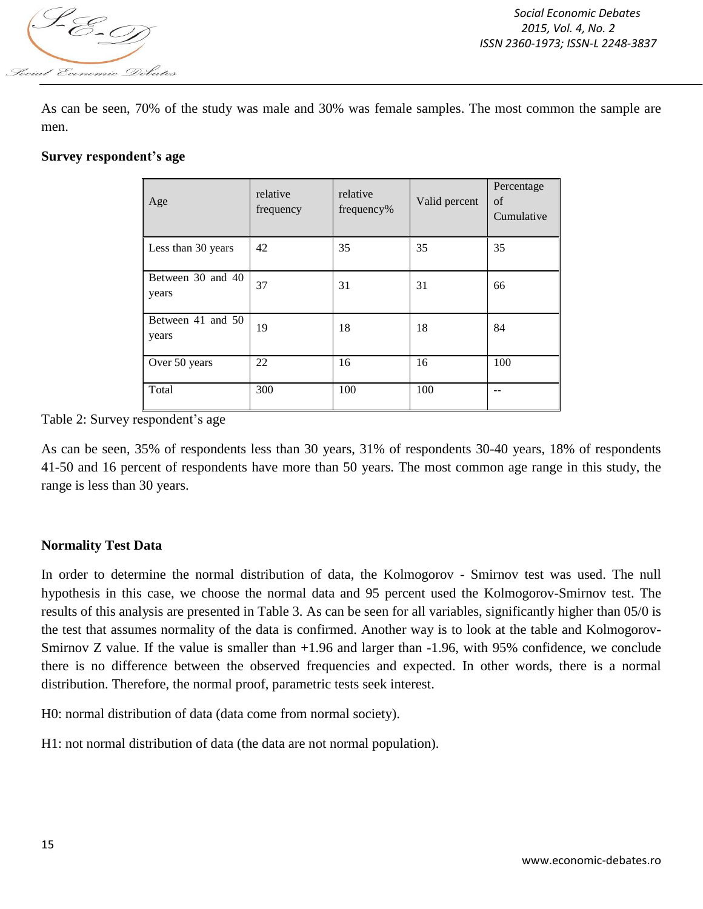

As can be seen, 70% of the study was male and 30% was female samples. The most common the sample are men.

### **Survey respondent's age**

| Age                        | relative<br>frequency | relative<br>frequency% | Valid percent | Percentage<br>of<br>Cumulative |
|----------------------------|-----------------------|------------------------|---------------|--------------------------------|
| Less than 30 years         | 42                    | 35                     | 35            | 35                             |
| Between 30 and 40<br>years | 37                    | 31                     | 31            | 66                             |
| Between 41 and 50<br>years | 19                    | 18                     | 18            | 84                             |
| Over 50 years              | 22                    | 16                     | 16            | 100                            |
| Total                      | 300                   | 100                    | 100           |                                |

Table 2: Survey respondent's age

As can be seen, 35% of respondents less than 30 years, 31% of respondents 30-40 years, 18% of respondents 41-50 and 16 percent of respondents have more than 50 years. The most common age range in this study, the range is less than 30 years.

## **Normality Test Data**

In order to determine the normal distribution of data, the Kolmogorov - Smirnov test was used. The null hypothesis in this case, we choose the normal data and 95 percent used the Kolmogorov-Smirnov test. The results of this analysis are presented in Table 3. As can be seen for all variables, significantly higher than 05/0 is the test that assumes normality of the data is confirmed. Another way is to look at the table and Kolmogorov-Smirnov Z value. If the value is smaller than +1.96 and larger than -1.96, with 95% confidence, we conclude there is no difference between the observed frequencies and expected. In other words, there is a normal distribution. Therefore, the normal proof, parametric tests seek interest.

H0: normal distribution of data (data come from normal society).

H1: not normal distribution of data (the data are not normal population).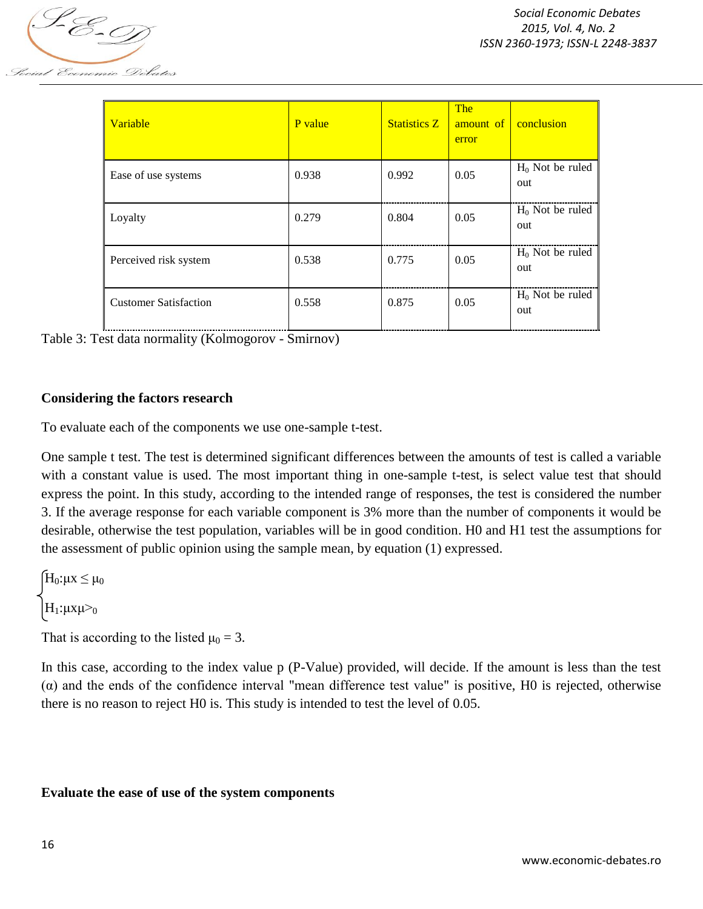

| Variable                     | P value | <b>Statistics Z</b> | <b>The</b><br>amount of<br>error | conclusion                |
|------------------------------|---------|---------------------|----------------------------------|---------------------------|
| Ease of use systems          | 0.938   | 0.992               | 0.05                             | $H_0$ Not be ruled<br>out |
| Loyalty                      | 0.279   | 0.804               | 0.05                             | $H_0$ Not be ruled<br>out |
| Perceived risk system        | 0.538   | 0.775               | 0.05                             | $H_0$ Not be ruled<br>out |
| <b>Customer Satisfaction</b> | 0.558   | 0.875               | 0.05                             | $H_0$ Not be ruled<br>out |

Table 3: Test data normality (Kolmogorov - Smirnov)

### **Considering the factors research**

To evaluate each of the components we use one-sample t-test.

One sample t test. The test is determined significant differences between the amounts of test is called a variable with a constant value is used. The most important thing in one-sample t-test, is select value test that should express the point. In this study, according to the intended range of responses, the test is considered the number 3. If the average response for each variable component is 3% more than the number of components it would be desirable, otherwise the test population, variables will be in good condition. H0 and H1 test the assumptions for the assessment of public opinion using the sample mean, by equation (1) expressed.

 $H_0: \mu X \leq \mu_0$  $H_1: \mu \times \mu \geq 0$ 

That is according to the listed  $\mu_0 = 3$ .

In this case, according to the index value p (P-Value) provided, will decide. If the amount is less than the test  $\alpha$ ) and the ends of the confidence interval "mean difference test value" is positive, H0 is rejected, otherwise there is no reason to reject H0 is. This study is intended to test the level of 0.05.

#### **Evaluate the ease of use of the system components**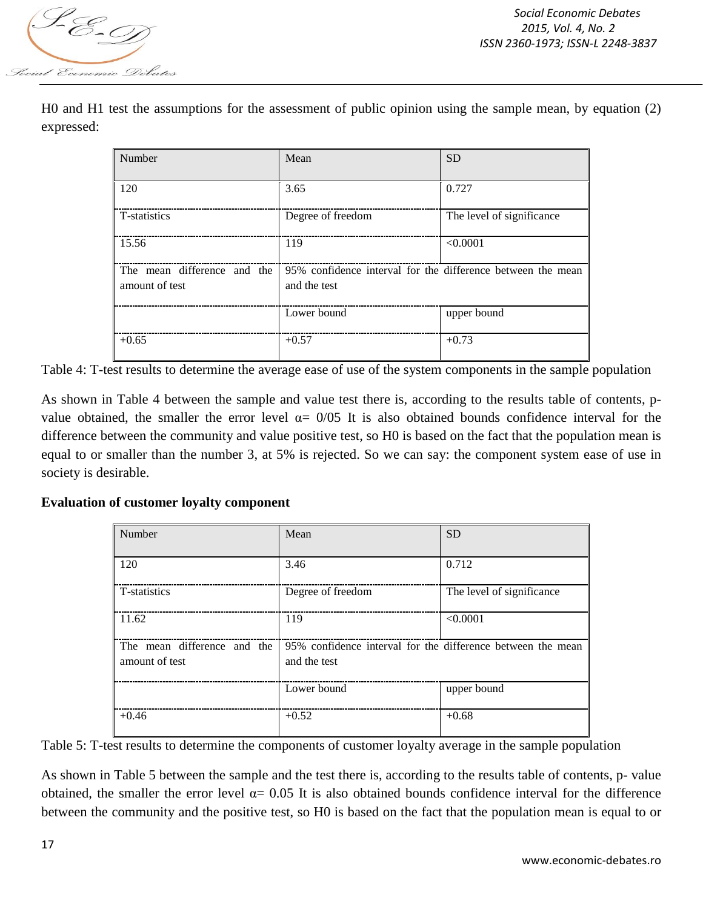

H0 and H1 test the assumptions for the assessment of public opinion using the sample mean, by equation (2) expressed:

| Number                                        | Mean                                                                        | <b>SD</b>                 |
|-----------------------------------------------|-----------------------------------------------------------------------------|---------------------------|
| 120                                           | 3.65                                                                        | 0.727                     |
| T-statistics                                  | Degree of freedom                                                           | The level of significance |
| 15.56                                         | 119                                                                         | < 0.0001                  |
| The mean difference and the<br>amount of test | 95% confidence interval for the difference between the mean<br>and the test |                           |
|                                               | Lower bound                                                                 | upper bound               |
| $+0.65$                                       | $+0.57$                                                                     | $+0.73$                   |

Table 4: T-test results to determine the average ease of use of the system components in the sample population

As shown in Table 4 between the sample and value test there is, according to the results table of contents, pvalue obtained, the smaller the error level  $\alpha$  = 0/05 It is also obtained bounds confidence interval for the difference between the community and value positive test, so H0 is based on the fact that the population mean is equal to or smaller than the number 3, at 5% is rejected. So we can say: the component system ease of use in society is desirable.

### **Evaluation of customer loyalty component**

| Number                      | Mean                                                        | <b>SD</b>                 |
|-----------------------------|-------------------------------------------------------------|---------------------------|
| 120                         | 3.46                                                        | 0.712                     |
| T-statistics                | Degree of freedom                                           | The level of significance |
| 11.62                       | 119                                                         | < 0.0001                  |
| The mean difference and the | 95% confidence interval for the difference between the mean |                           |
| amount of test              | and the test                                                |                           |
|                             | Lower bound                                                 | upper bound               |
| $+0.46$                     | $+0.52$                                                     | $+0.68$                   |

Table 5: T-test results to determine the components of customer loyalty average in the sample population

As shown in Table 5 between the sample and the test there is, according to the results table of contents, p- value obtained, the smaller the error level  $\alpha$  = 0.05 It is also obtained bounds confidence interval for the difference between the community and the positive test, so H0 is based on the fact that the population mean is equal to or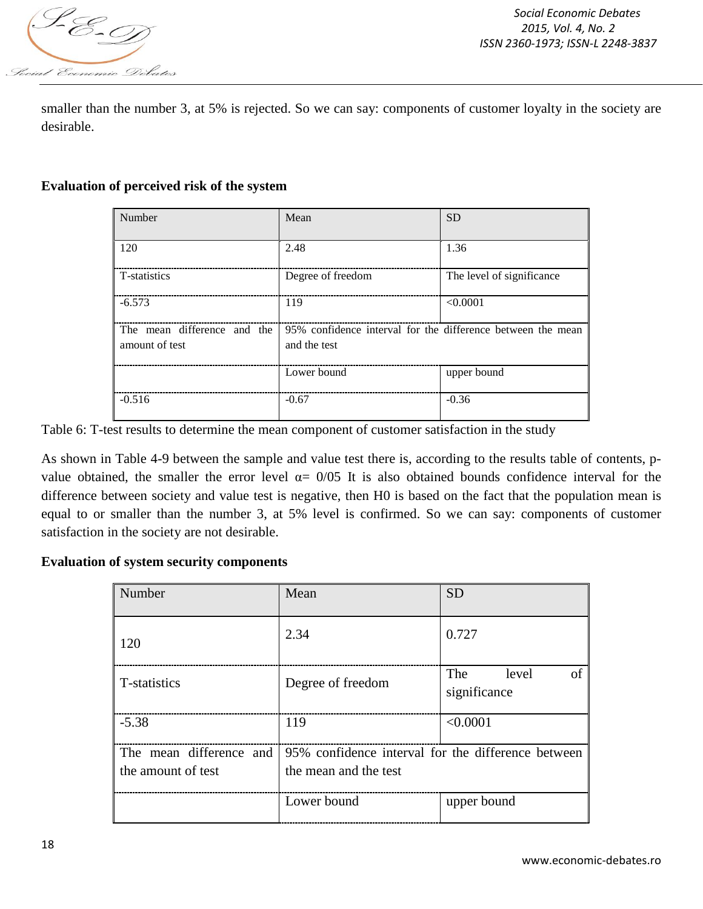

smaller than the number 3, at 5% is rejected. So we can say: components of customer loyalty in the society are desirable.

### **Evaluation of perceived risk of the system**

| Number                                        | Mean                                                                        | <b>SD</b>                 |
|-----------------------------------------------|-----------------------------------------------------------------------------|---------------------------|
| 120                                           | 2.48                                                                        | 1.36                      |
| T-statistics                                  | Degree of freedom                                                           | The level of significance |
| $-6.573$                                      | 119                                                                         | < 0.0001                  |
| The mean difference and the<br>amount of test | 95% confidence interval for the difference between the mean<br>and the test |                           |
|                                               | Lower bound                                                                 | upper bound               |
| $-0.516$                                      | $-0.67$                                                                     | $-0.36$                   |

Table 6: T-test results to determine the mean component of customer satisfaction in the study

As shown in Table 4-9 between the sample and value test there is, according to the results table of contents, pvalue obtained, the smaller the error level  $\alpha$  = 0/05 It is also obtained bounds confidence interval for the difference between society and value test is negative, then H0 is based on the fact that the population mean is equal to or smaller than the number 3, at 5% level is confirmed. So we can say: components of customer satisfaction in the society are not desirable.

### **Evaluation of system security components**

| Number                  | Mean                                               | <b>SD</b>                          |
|-------------------------|----------------------------------------------------|------------------------------------|
| 120                     | 2.34                                               | 0.727                              |
| T-statistics            | Degree of freedom                                  | The<br>level<br>of<br>significance |
| $-5.38$                 | 119                                                | < 0.0001                           |
| The mean difference and | 95% confidence interval for the difference between |                                    |
| the amount of test      | the mean and the test                              |                                    |
|                         | Lower bound                                        | upper bound                        |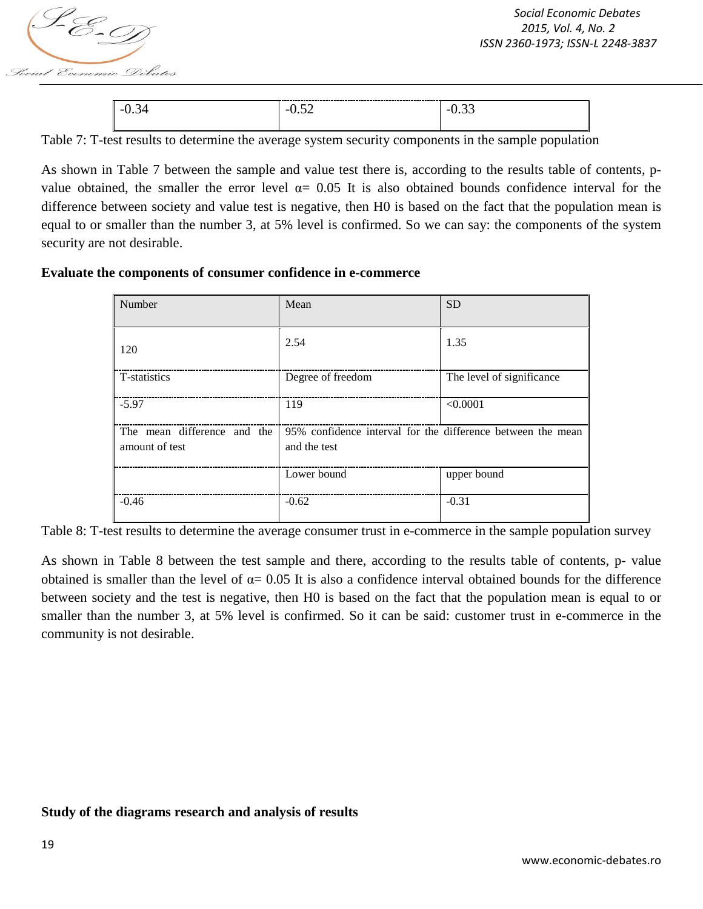

| - | - 1 | $\overline{\phantom{0}}$ |
|---|-----|--------------------------|
|   |     |                          |

Table 7: T-test results to determine the average system security components in the sample population

As shown in Table 7 between the sample and value test there is, according to the results table of contents, pvalue obtained, the smaller the error level  $\alpha$  = 0.05 It is also obtained bounds confidence interval for the difference between society and value test is negative, then H0 is based on the fact that the population mean is equal to or smaller than the number 3, at 5% level is confirmed. So we can say: the components of the system security are not desirable.

#### **Evaluate the components of consumer confidence in e-commerce**

| Number                                        | Mean                                                                        | <b>SD</b>                 |
|-----------------------------------------------|-----------------------------------------------------------------------------|---------------------------|
| 120                                           | 2.54                                                                        | 1.35                      |
| T-statistics                                  | Degree of freedom                                                           | The level of significance |
| $-5.97$                                       | 119                                                                         | < 0.0001                  |
| The mean difference and the<br>amount of test | 95% confidence interval for the difference between the mean<br>and the test |                           |
|                                               | Lower bound                                                                 | upper bound               |
| $-0.46$                                       | $-0.62$                                                                     | $-0.31$                   |

Table 8: T-test results to determine the average consumer trust in e-commerce in the sample population survey

As shown in Table 8 between the test sample and there, according to the results table of contents, p- value obtained is smaller than the level of  $\alpha$  = 0.05 It is also a confidence interval obtained bounds for the difference between society and the test is negative, then H0 is based on the fact that the population mean is equal to or smaller than the number 3, at 5% level is confirmed. So it can be said: customer trust in e-commerce in the community is not desirable.

#### **Study of the diagrams research and analysis of results**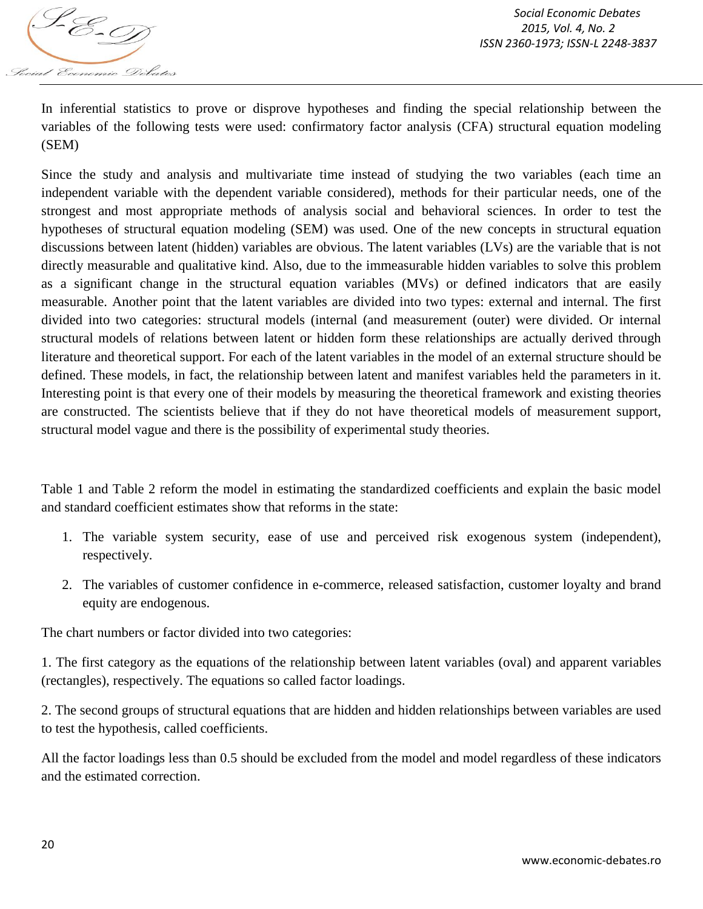

In inferential statistics to prove or disprove hypotheses and finding the special relationship between the variables of the following tests were used: confirmatory factor analysis (CFA) structural equation modeling (SEM)

Since the study and analysis and multivariate time instead of studying the two variables (each time an independent variable with the dependent variable considered), methods for their particular needs, one of the strongest and most appropriate methods of analysis social and behavioral sciences. In order to test the hypotheses of structural equation modeling (SEM) was used. One of the new concepts in structural equation discussions between latent (hidden) variables are obvious. The latent variables (LVs) are the variable that is not directly measurable and qualitative kind. Also, due to the immeasurable hidden variables to solve this problem as a significant change in the structural equation variables (MVs) or defined indicators that are easily measurable. Another point that the latent variables are divided into two types: external and internal. The first divided into two categories: structural models (internal (and measurement (outer) were divided. Or internal structural models of relations between latent or hidden form these relationships are actually derived through literature and theoretical support. For each of the latent variables in the model of an external structure should be defined. These models, in fact, the relationship between latent and manifest variables held the parameters in it. Interesting point is that every one of their models by measuring the theoretical framework and existing theories are constructed. The scientists believe that if they do not have theoretical models of measurement support, structural model vague and there is the possibility of experimental study theories.

Table 1 and Table 2 reform the model in estimating the standardized coefficients and explain the basic model and standard coefficient estimates show that reforms in the state:

- 1. The variable system security, ease of use and perceived risk exogenous system (independent), respectively.
- 2. The variables of customer confidence in e-commerce, released satisfaction, customer loyalty and brand equity are endogenous.

The chart numbers or factor divided into two categories:

1. The first category as the equations of the relationship between latent variables (oval) and apparent variables (rectangles), respectively. The equations so called factor loadings.

2. The second groups of structural equations that are hidden and hidden relationships between variables are used to test the hypothesis, called coefficients.

All the factor loadings less than 0.5 should be excluded from the model and model regardless of these indicators and the estimated correction.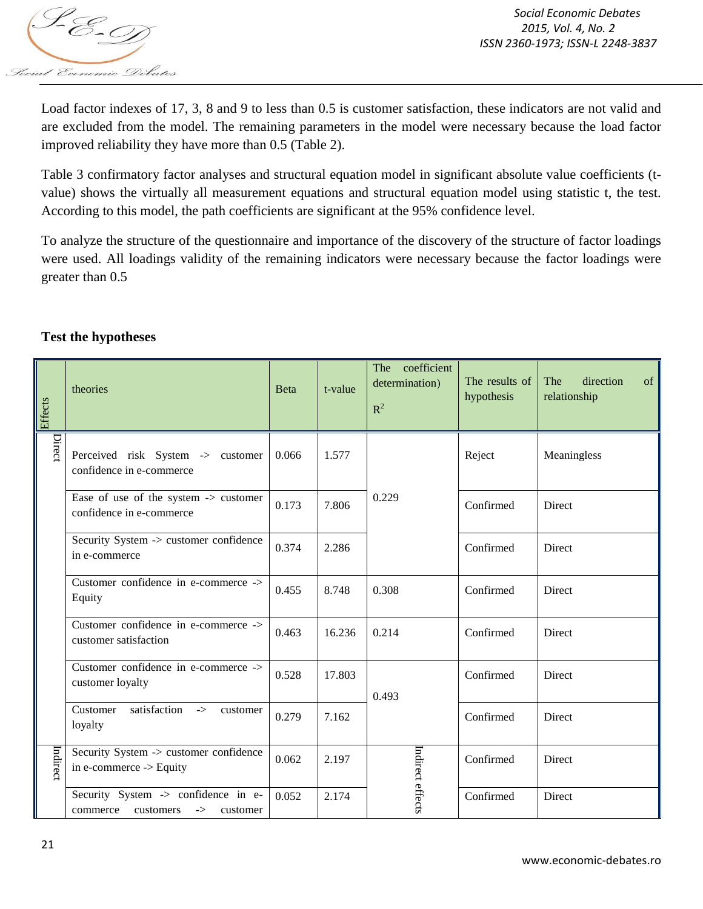

Load factor indexes of 17, 3, 8 and 9 to less than 0.5 is customer satisfaction, these indicators are not valid and are excluded from the model. The remaining parameters in the model were necessary because the load factor improved reliability they have more than 0.5 (Table 2).

Table 3 confirmatory factor analyses and structural equation model in significant absolute value coefficients (tvalue) shows the virtually all measurement equations and structural equation model using statistic t, the test. According to this model, the path coefficients are significant at the 95% confidence level.

To analyze the structure of the questionnaire and importance of the discovery of the structure of factor loadings were used. All loadings validity of the remaining indicators were necessary because the factor loadings were greater than 0.5

## **Test the hypotheses**

| Effects  | theories                                                                 | Beta  | t-value | The coefficient<br>determination)<br>$R^2$ | The results of<br>hypothesis | The<br>direction<br>of<br>relationship |
|----------|--------------------------------------------------------------------------|-------|---------|--------------------------------------------|------------------------------|----------------------------------------|
| Direct   | Perceived risk System -> customer<br>confidence in e-commerce            | 0.066 | 1.577   |                                            | Reject                       | Meaningless                            |
|          | Ease of use of the system -> customer<br>confidence in e-commerce        | 0.173 | 7.806   | 0.229                                      | Confirmed                    | Direct                                 |
|          | Security System -> customer confidence<br>in e-commerce                  | 0.374 | 2.286   |                                            | Confirmed                    | Direct                                 |
|          | Customer confidence in e-commerce -><br>Equity                           | 0.455 | 8.748   | 0.308                                      | Confirmed                    | Direct                                 |
|          | Customer confidence in e-commerce -><br>customer satisfaction            | 0.463 | 16.236  | 0.214                                      | Confirmed                    | Direct                                 |
|          | Customer confidence in e-commerce -><br>customer loyalty                 | 0.528 | 17.803  | 0.493                                      | Confirmed                    | Direct                                 |
|          | satisfaction<br>Customer<br>$\rightarrow$<br>customer<br>loyalty         | 0.279 | 7.162   |                                            | Confirmed                    | Direct                                 |
| Indirect | Security System -> customer confidence<br>in e-commerce -> Equity        | 0.062 | 2.197   | Indirect effects                           | Confirmed                    | Direct                                 |
|          | Security System -> confidence in e-<br>commerce customers<br>-> customer | 0.052 | 2.174   |                                            | Confirmed                    | Direct                                 |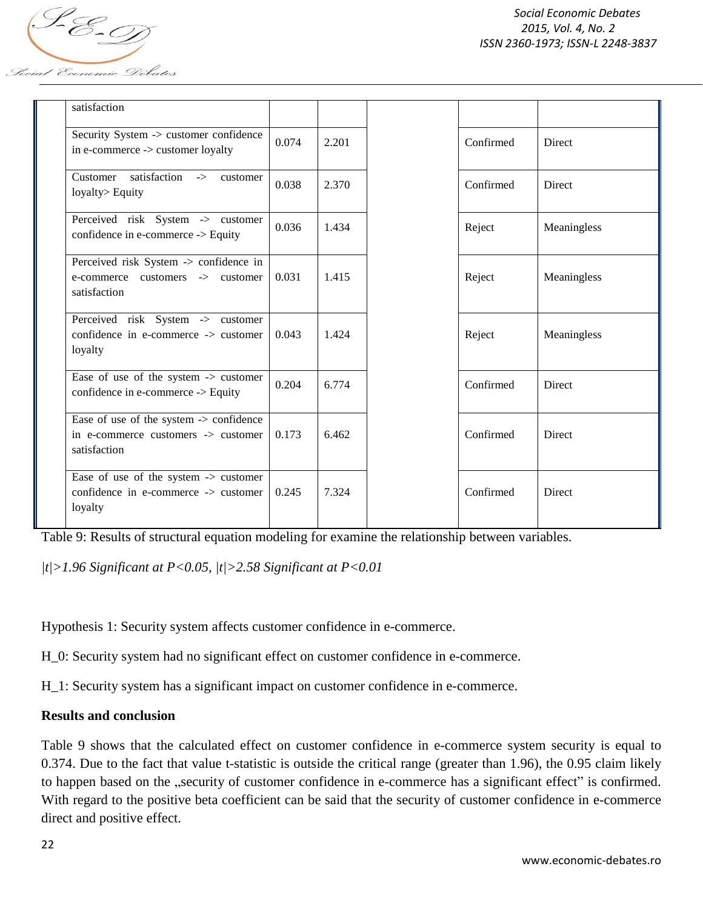S-E-T *Locial Economic Debates* 

| satisfaction                                                                                                   |                |           |               |           |               |
|----------------------------------------------------------------------------------------------------------------|----------------|-----------|---------------|-----------|---------------|
| Security System -> customer confidence<br>in e-commerce -> customer loyalty                                    | 0.074<br>2.201 | Confirmed | Direct        |           |               |
| satisfaction -><br>Customer<br>customer<br>0.038<br>2.370<br>loyalty> Equity                                   |                | Confirmed | <b>Direct</b> |           |               |
| Perceived risk System -> customer<br>confidence in e-commerce -> Equity                                        | 0.036          | 1.434     |               | Reject    | Meaningless   |
| Perceived risk System -> confidence in<br>e-commerce customers -> customer<br>satisfaction                     | 0.031          | 1.415     |               | Reject    | Meaningless   |
| Perceived risk System -> customer<br>confidence in e-commerce -> customer<br>loyalty                           | 0.043          | 1.424     |               | Reject    | Meaningless   |
| Ease of use of the system -> customer<br>confidence in e-commerce -> Equity                                    | 0.204          | 6.774     |               | Confirmed | Direct        |
| Ease of use of the system -> confidence<br>in e-commerce customers -> customer<br>satisfaction                 | 0.173          | 6.462     |               | Confirmed | <b>Direct</b> |
| Ease of use of the system $\rightarrow$ customer<br>confidence in e-commerce $\rightarrow$ customer<br>loyalty | 0.245          | 7.324     |               | Confirmed | <b>Direct</b> |

Table 9: Results of structural equation modeling for examine the relationship between variables.

*|t|>1.96 Significant at P<0.05, |t|>2.58 Significant at P<0.01*

Hypothesis 1: Security system affects customer confidence in e-commerce.

H\_0: Security system had no significant effect on customer confidence in e-commerce.

H\_1: Security system has a significant impact on customer confidence in e-commerce.

### **Results and conclusion**

Table 9 shows that the calculated effect on customer confidence in e-commerce system security is equal to 0.374. Due to the fact that value t-statistic is outside the critical range (greater than 1.96), the 0.95 claim likely to happen based on the "security of customer confidence in e-commerce has a significant effect" is confirmed. With regard to the positive beta coefficient can be said that the security of customer confidence in e-commerce direct and positive effect.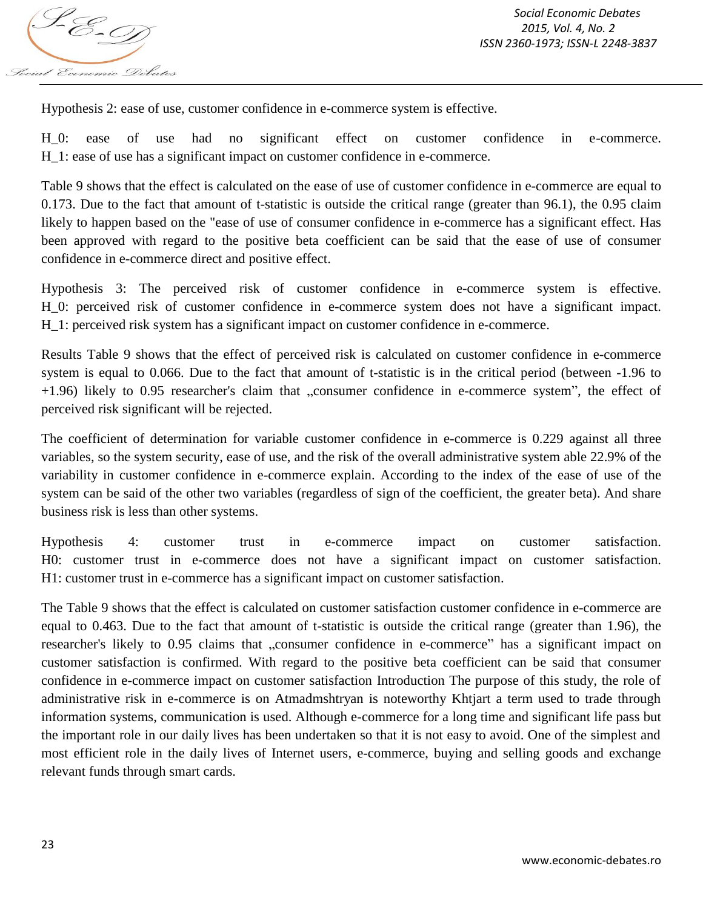

Hypothesis 2: ease of use, customer confidence in e-commerce system is effective.

H\_0: ease of use had no significant effect on customer confidence in e-commerce. H\_1: ease of use has a significant impact on customer confidence in e-commerce.

Table 9 shows that the effect is calculated on the ease of use of customer confidence in e-commerce are equal to 0.173. Due to the fact that amount of t-statistic is outside the critical range (greater than 96.1), the 0.95 claim likely to happen based on the "ease of use of consumer confidence in e-commerce has a significant effect. Has been approved with regard to the positive beta coefficient can be said that the ease of use of consumer confidence in e-commerce direct and positive effect.

Hypothesis 3: The perceived risk of customer confidence in e-commerce system is effective. H\_0: perceived risk of customer confidence in e-commerce system does not have a significant impact. H\_1: perceived risk system has a significant impact on customer confidence in e-commerce.

Results Table 9 shows that the effect of perceived risk is calculated on customer confidence in e-commerce system is equal to 0.066. Due to the fact that amount of t-statistic is in the critical period (between -1.96 to +1.96) likely to 0.95 researcher's claim that "consumer confidence in e-commerce system", the effect of perceived risk significant will be rejected.

The coefficient of determination for variable customer confidence in e-commerce is 0.229 against all three variables, so the system security, ease of use, and the risk of the overall administrative system able 22.9% of the variability in customer confidence in e-commerce explain. According to the index of the ease of use of the system can be said of the other two variables (regardless of sign of the coefficient, the greater beta). And share business risk is less than other systems.

Hypothesis 4: customer trust in e-commerce impact on customer satisfaction. H0: customer trust in e-commerce does not have a significant impact on customer satisfaction. H1: customer trust in e-commerce has a significant impact on customer satisfaction.

The Table 9 shows that the effect is calculated on customer satisfaction customer confidence in e-commerce are equal to 0.463. Due to the fact that amount of t-statistic is outside the critical range (greater than 1.96), the researcher's likely to 0.95 claims that "consumer confidence in e-commerce" has a significant impact on customer satisfaction is confirmed. With regard to the positive beta coefficient can be said that consumer confidence in e-commerce impact on customer satisfaction Introduction The purpose of this study, the role of administrative risk in e-commerce is on Atmadmshtryan is noteworthy Khtjart a term used to trade through information systems, communication is used. Although e-commerce for a long time and significant life pass but the important role in our daily lives has been undertaken so that it is not easy to avoid. One of the simplest and most efficient role in the daily lives of Internet users, e-commerce, buying and selling goods and exchange relevant funds through smart cards.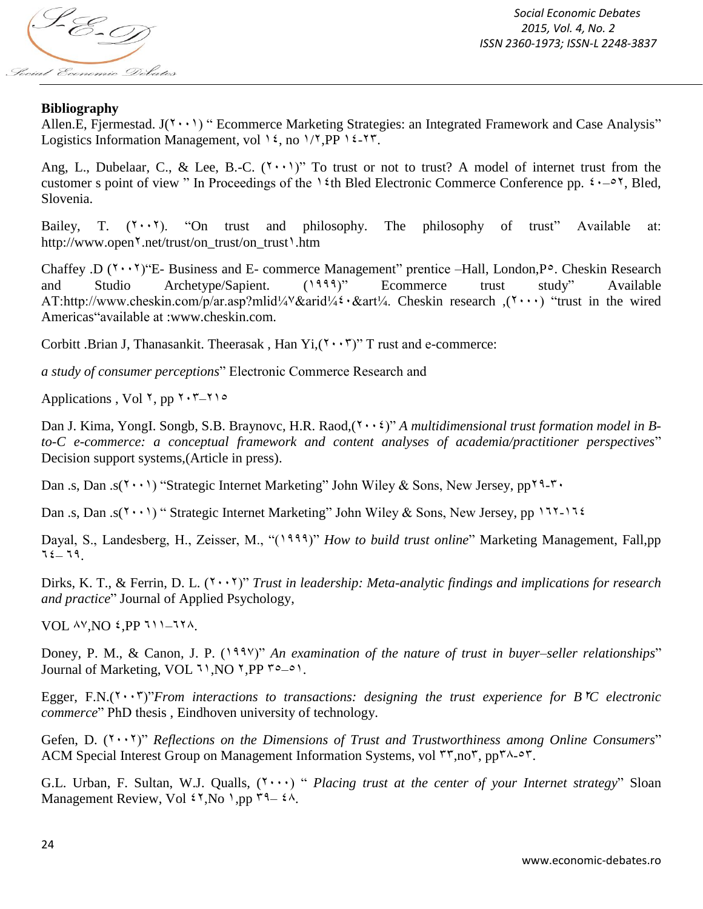S-E-T Social Economic Debates

*Social Economic Debates 2015, Vol. 4, No. 2 ISSN 2360-1973; ISSN-L 2248-3837*

### **Bibliography**

Allen.E, Fjermestad.  $J(\uparrow \cdot \cdot)$  " Ecommerce Marketing Strategies: an Integrated Framework and Case Analysis" Logistics Information Management, vol ١٤, no ١/٢, PP ١٤-٢٣.

Ang, L., Dubelaar, C., & Lee, B.-C.  $(1 \cdot \cdot \cdot)^n$  To trust or not to trust? A model of internet trust from the customer s point of view " In Proceedings of the  $\frac{1 \text{ th}}{1 \text{ t}}$  Bled Electronic Commerce Conference pp.  $\frac{1 \text{ ft}}{1 \text{ t}}$ , Bled, Slovenia.

Bailey, T.  $(Y \cdot Y)$ . "On trust and philosophy. The philosophy of trust" Available at: http://www.open<sup>\\*</sup>.net/trust/on\_trust/on\_trust<sup>1</sup>.htm

Chaffey .D  $(1 \cdot \cdot 7)$ "E- Business and E- commerce Management" prentice –Hall, London, P°. Cheskin Research and Studio Archetype/Sapient. (1999)" Ecommerce trust study" Available AT:http://www.cheskin.com/p/ar.asp?mlid¼٧&arid¼٤٠&art¼. Cheskin research ,(٢٠٠٠) "trust in the wired Americas"available at :www.cheskin.com.

Corbitt .Brian J, Thanasankit. Theerasak, Han Yi, $(1 \cdot \cdot \cdot)^n$  T rust and e-commerce:

*a study of consumer perceptions*" Electronic Commerce Research and

Applications, Vol  $\gamma$ , pp  $\gamma$ ,  $\gamma$ – $\gamma$ 

Dan J. Kima, YongI. Songb, S.B. Braynovc, H.R. Raod,( $\mathbf{v} \cdot \mathbf{v}$ )" *A multidimensional trust formation model in Bto-C e-commerce: a conceptual framework and content analyses of academia/practitioner perspectives*" Decision support systems,(Article in press).

Dan .s, Dan .s( $1 \cdot \cdot \cdot$ ) "Strategic Internet Marketing" John Wiley & Sons, New Jersey, pp $11 \cdot$ 

Dan .s, Dan .s( $(1 \cdot \cdot)$ ) " Strategic Internet Marketing" John Wiley & Sons, New Jersey, pp  $111 - 116$ 

Dayal, S., Landesberg, H., Zeisser, M., "(1999)" *How to build trust online*" Marketing Management, Fall,pp  $72 - 79$ .

Dirks, K. T., & Ferrin, D. L. (١٠٠١)" *Trust in leadership: Meta-analytic findings and implications for research and practice*" Journal of Applied Psychology,

VOL AV.NO *i*.PP  $111-171$ .

Doney, P. M., & Canon, J. P. (*1994)*" *An examination of the nature of trust in buyer–seller relationships*" Journal of Marketing, VOL ٦١, NO ٢, PP ٣٥-٥١.

Egger, F.N.(١٠٠٢)"*From interactions to transactions: designing the trust experience for B*١*C electronic commerce*" PhD thesis , Eindhoven university of technology.

Gefen, D. (*1.11*)" *Reflections on the Dimensions of Trust and Trustworthiness among Online Consumers*" ACM Special Interest Group on Management Information Systems, vol ٣٣,no٣, pp٢٨-٥٣.

G.L. Urban, F. Sultan, W.J. Qualls,  $(1 \cdots)$  " *Placing trust at the center of your Internet strategy*" Sloan Management Review, Vol  $\mathfrak{t}^{\dagger}$ , No  $\mathfrak{h}$ , pp  $\mathfrak{r}^{\dagger}$  =  $\mathfrak{t}^{\dagger}$ .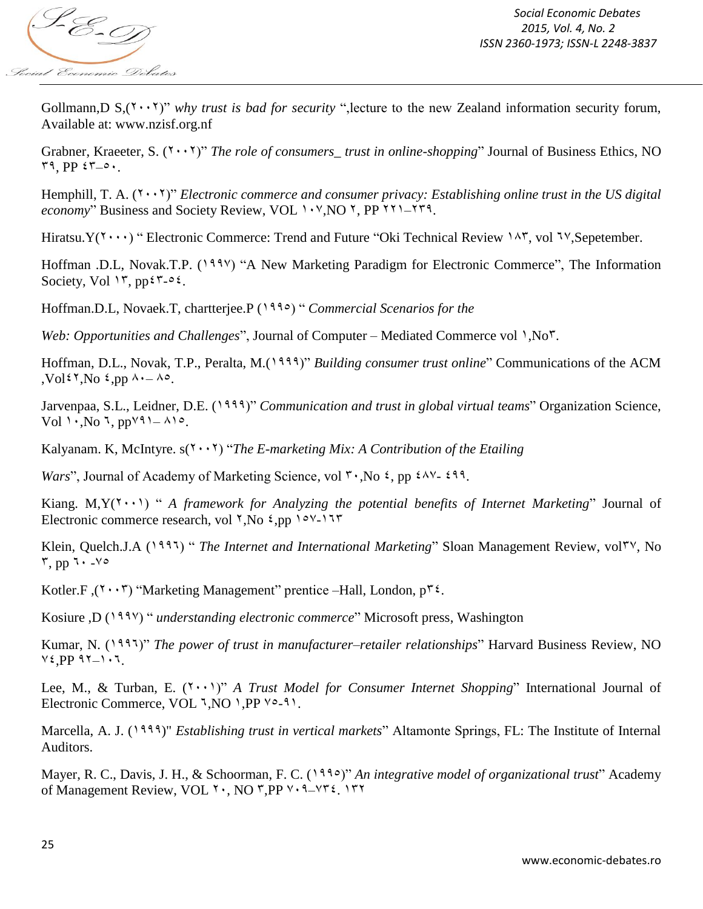

Gollmann,D  $S(1 \cdot \cdot 1)^n$  *why trust is bad for security* ", lecture to the new Zealand information security forum, Available at: www.nzisf.org.nf

Grabner, Kraeeter, S. (*1.11)*" *The role of consumers\_trust in online-shopping*" Journal of Business Ethics, NO  $\mathsf{r}\mathsf{q}$ ,  $\mathsf{pp}$   $\mathsf{r}\mathsf{r}\mathsf{-o}\mathsf{q}$ .

Hemphill, T. A. (١٠٠١)" *Electronic commerce and consumer privacy: Establishing online trust in the US digital economy*" Business and Society Review, VOL 1. Y, NO 1, PP 111-171.

Hiratsu. $Y(1 \cdot \cdot \cdot)$  " Electronic Commerce: Trend and Future "Oki Technical Review 147, vol 17, Sepetember.

Hoffman .D.L, Novak.T.P. (1997) "A New Marketing Paradigm for Electronic Commerce", The Information Society, Vol  $15$ , pp $55-05$ .

Hoffman.D.L, Novaek.T, chartterjee.P (٢١١٤) " *Commercial Scenarios for the*

*Web: Opportunities and Challenges*", Journal of Computer – Mediated Commerce vol  $\cdot$ ,No<sup>r</sup>.

Hoffman, D.L., Novak, T.P., Peralta, M.<sup>(1999)</sup>" *Building consumer trust online*" Communications of the ACM ,Vol<sup> $\zeta$ </sup>, No  $\zeta$ ,pp  $\lambda - \lambda$ °.

Jarvenpaa, S.L., Leidner, D.E. (٢١١١)" *Communication and trust in global virtual teams*" Organization Science,  $Vol \cdot No 7$ ,  $ppV31 - A10$ .

Kalyanam. K, McIntyre. s(<sup>1</sup> · · <sup>1</sup>) "*The E-marketing Mix: A Contribution of the Etailing* 

*Wars*", Journal of Academy of Marketing Science, vol **٢٠, No ٤, pp ٤**٨٧- ٤٩٩.

Kiang. M, $Y(Y \cdot Y)$  " *A framework for Analyzing the potential benefits of Internet Marketing*" Journal of Electronic commerce research, vol  $\gamma$ , No  $\epsilon$ , pp  $\gamma$ 

Klein, Quelch.J.A (1995) " *The Internet and International Marketing*" Sloan Management Review, vol<sup>TV</sup>, No  $\mathbf{r}$ , pp  $\mathbf{1} \cdot \mathbf{1}$ 

Kotler.F ( $(1 \cdot \cdot \cdot)$  "Marketing Management" prentice –Hall, London,  $p^{\dagger}$ ?.

Kosiure ,D (٢١١٧) " *understanding electronic commerce*" Microsoft press, Washington

Kumar, N. (٢١١٥)" *The power of trust in manufacturer–retailer relationships*" Harvard Business Review, NO  $V_{\epsilon}$ .PP  $V_{-1} \cdot V_{-1}$ 

Lee, M., & Turban, E. (<sup>1</sup>··<sup>1</sup>)" *A Trust Model for Consumer Internet Shopping*" International Journal of Electronic Commerce, VOL 7, NO 1, PP  $\vee$  - 11.

Marcella, A. J. (1999)" *Establishing trust in vertical markets*" Altamonte Springs, FL: The Institute of Internal Auditors.

Mayer, R. C., Davis, J. H., & Schoorman, F. C. (٢١١٤)" *An integrative model of organizational trust*" Academy of Management Review, VOL ٢٠, NO ٣,PP ٧٠٩-٧٣٤. ١٣٢